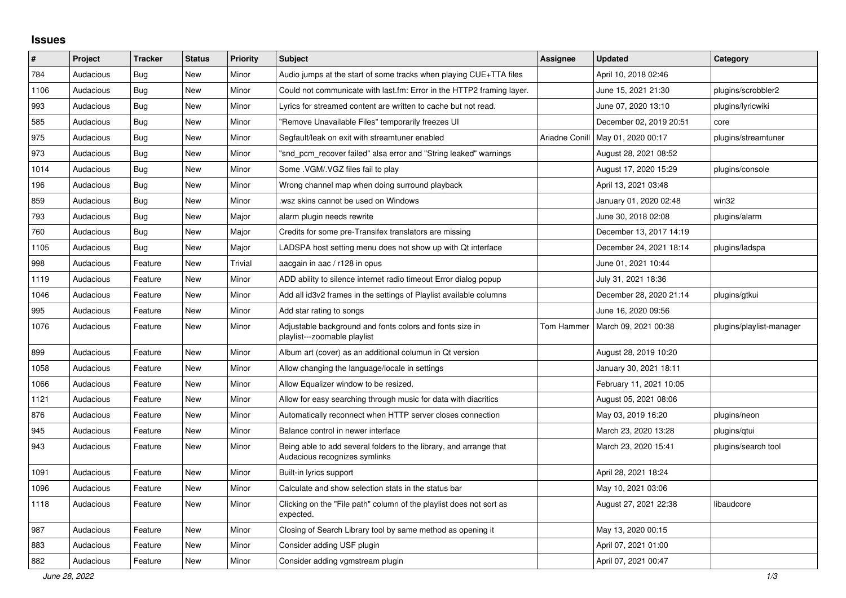## **Issues**

| $\#$ | Project   | <b>Tracker</b> | <b>Status</b> | <b>Priority</b> | <b>Subject</b>                                                                                      | <b>Assignee</b> | <b>Updated</b>          | Category                 |
|------|-----------|----------------|---------------|-----------------|-----------------------------------------------------------------------------------------------------|-----------------|-------------------------|--------------------------|
| 784  | Audacious | <b>Bug</b>     | <b>New</b>    | Minor           | Audio jumps at the start of some tracks when playing CUE+TTA files                                  |                 | April 10, 2018 02:46    |                          |
| 1106 | Audacious | Bug            | <b>New</b>    | Minor           | Could not communicate with last.fm: Error in the HTTP2 framing layer.                               |                 | June 15, 2021 21:30     | plugins/scrobbler2       |
| 993  | Audacious | <b>Bug</b>     | <b>New</b>    | Minor           | Lyrics for streamed content are written to cache but not read.                                      |                 | June 07, 2020 13:10     | plugins/lyricwiki        |
| 585  | Audacious | <b>Bug</b>     | <b>New</b>    | Minor           | "Remove Unavailable Files" temporarily freezes UI                                                   |                 | December 02, 2019 20:51 | core                     |
| 975  | Audacious | Bug            | <b>New</b>    | Minor           | Segfault/leak on exit with streamtuner enabled                                                      | Ariadne Conill  | May 01, 2020 00:17      | plugins/streamtuner      |
| 973  | Audacious | Bug            | <b>New</b>    | Minor           | "snd pcm recover failed" alsa error and "String leaked" warnings                                    |                 | August 28, 2021 08:52   |                          |
| 1014 | Audacious | <b>Bug</b>     | <b>New</b>    | Minor           | Some .VGM/.VGZ files fail to play                                                                   |                 | August 17, 2020 15:29   | plugins/console          |
| 196  | Audacious | <b>Bug</b>     | <b>New</b>    | Minor           | Wrong channel map when doing surround playback                                                      |                 | April 13, 2021 03:48    |                          |
| 859  | Audacious | <b>Bug</b>     | <b>New</b>    | Minor           | wsz skins cannot be used on Windows                                                                 |                 | January 01, 2020 02:48  | win32                    |
| 793  | Audacious | <b>Bug</b>     | <b>New</b>    | Major           | alarm plugin needs rewrite                                                                          |                 | June 30, 2018 02:08     | plugins/alarm            |
| 760  | Audacious | <b>Bug</b>     | <b>New</b>    | Major           | Credits for some pre-Transifex translators are missing                                              |                 | December 13, 2017 14:19 |                          |
| 1105 | Audacious | <b>Bug</b>     | <b>New</b>    | Major           | LADSPA host setting menu does not show up with Qt interface                                         |                 | December 24, 2021 18:14 | plugins/ladspa           |
| 998  | Audacious | Feature        | <b>New</b>    | Trivial         | aacgain in aac / r128 in opus                                                                       |                 | June 01, 2021 10:44     |                          |
| 1119 | Audacious | Feature        | New           | Minor           | ADD ability to silence internet radio timeout Error dialog popup                                    |                 | July 31, 2021 18:36     |                          |
| 1046 | Audacious | Feature        | <b>New</b>    | Minor           | Add all id3v2 frames in the settings of Playlist available columns                                  |                 | December 28, 2020 21:14 | plugins/gtkui            |
| 995  | Audacious | Feature        | <b>New</b>    | Minor           | Add star rating to songs                                                                            |                 | June 16, 2020 09:56     |                          |
| 1076 | Audacious | Feature        | <b>New</b>    | Minor           | Adjustable background and fonts colors and fonts size in<br>playlist---zoomable playlist            | Tom Hammer      | March 09, 2021 00:38    | plugins/playlist-manager |
| 899  | Audacious | Feature        | <b>New</b>    | Minor           | Album art (cover) as an additional columun in Qt version                                            |                 | August 28, 2019 10:20   |                          |
| 1058 | Audacious | Feature        | <b>New</b>    | Minor           | Allow changing the language/locale in settings                                                      |                 | January 30, 2021 18:11  |                          |
| 1066 | Audacious | Feature        | <b>New</b>    | Minor           | Allow Equalizer window to be resized.                                                               |                 | February 11, 2021 10:05 |                          |
| 1121 | Audacious | Feature        | <b>New</b>    | Minor           | Allow for easy searching through music for data with diacritics                                     |                 | August 05, 2021 08:06   |                          |
| 876  | Audacious | Feature        | <b>New</b>    | Minor           | Automatically reconnect when HTTP server closes connection                                          |                 | May 03, 2019 16:20      | plugins/neon             |
| 945  | Audacious | Feature        | New           | Minor           | Balance control in newer interface                                                                  |                 | March 23, 2020 13:28    | plugins/qtui             |
| 943  | Audacious | Feature        | New           | Minor           | Being able to add several folders to the library, and arrange that<br>Audacious recognizes symlinks |                 | March 23, 2020 15:41    | plugins/search tool      |
| 1091 | Audacious | Feature        | <b>New</b>    | Minor           | Built-in lyrics support                                                                             |                 | April 28, 2021 18:24    |                          |
| 1096 | Audacious | Feature        | New           | Minor           | Calculate and show selection stats in the status bar                                                |                 | May 10, 2021 03:06      |                          |
| 1118 | Audacious | Feature        | <b>New</b>    | Minor           | Clicking on the "File path" column of the playlist does not sort as<br>expected.                    |                 | August 27, 2021 22:38   | libaudcore               |
| 987  | Audacious | Feature        | New           | Minor           | Closing of Search Library tool by same method as opening it                                         |                 | May 13, 2020 00:15      |                          |
| 883  | Audacious | Feature        | <b>New</b>    | Minor           | Consider adding USF plugin                                                                          |                 | April 07, 2021 01:00    |                          |
| 882  | Audacious | Feature        | <b>New</b>    | Minor           | Consider adding vgmstream plugin                                                                    |                 | April 07, 2021 00:47    |                          |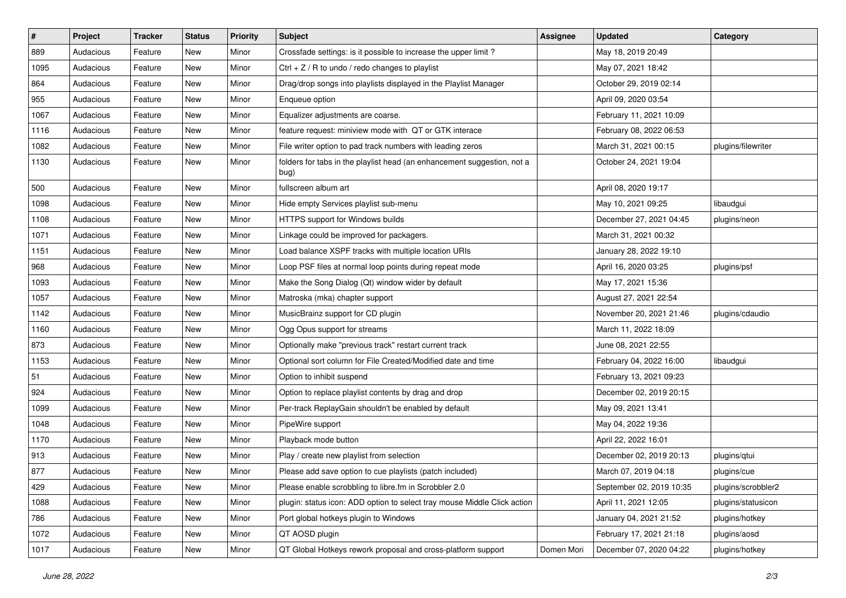| $\#$ | Project   | <b>Tracker</b> | <b>Status</b> | <b>Priority</b> | <b>Subject</b>                                                                  | <b>Assignee</b> | <b>Updated</b>           | Category           |
|------|-----------|----------------|---------------|-----------------|---------------------------------------------------------------------------------|-----------------|--------------------------|--------------------|
| 889  | Audacious | Feature        | New           | Minor           | Crossfade settings: is it possible to increase the upper limit?                 |                 | May 18, 2019 20:49       |                    |
| 1095 | Audacious | Feature        | New           | Minor           | Ctrl $+$ Z / R to undo / redo changes to playlist                               |                 | May 07, 2021 18:42       |                    |
| 864  | Audacious | Feature        | New           | Minor           | Drag/drop songs into playlists displayed in the Playlist Manager                |                 | October 29, 2019 02:14   |                    |
| 955  | Audacious | Feature        | New           | Minor           | Enqueue option                                                                  |                 | April 09, 2020 03:54     |                    |
| 1067 | Audacious | Feature        | New           | Minor           | Equalizer adjustments are coarse.                                               |                 | February 11, 2021 10:09  |                    |
| 1116 | Audacious | Feature        | New           | Minor           | feature request: miniview mode with QT or GTK interace                          |                 | February 08, 2022 06:53  |                    |
| 1082 | Audacious | Feature        | New           | Minor           | File writer option to pad track numbers with leading zeros                      |                 | March 31, 2021 00:15     | plugins/filewriter |
| 1130 | Audacious | Feature        | New           | Minor           | folders for tabs in the playlist head (an enhancement suggestion, not a<br>bug) |                 | October 24, 2021 19:04   |                    |
| 500  | Audacious | Feature        | New           | Minor           | fullscreen album art                                                            |                 | April 08, 2020 19:17     |                    |
| 1098 | Audacious | Feature        | New           | Minor           | Hide empty Services playlist sub-menu                                           |                 | May 10, 2021 09:25       | libaudgui          |
| 1108 | Audacious | Feature        | New           | Minor           | HTTPS support for Windows builds                                                |                 | December 27, 2021 04:45  | plugins/neon       |
| 1071 | Audacious | Feature        | New           | Minor           | Linkage could be improved for packagers.                                        |                 | March 31, 2021 00:32     |                    |
| 1151 | Audacious | Feature        | New           | Minor           | Load balance XSPF tracks with multiple location URIs                            |                 | January 28, 2022 19:10   |                    |
| 968  | Audacious | Feature        | New           | Minor           | Loop PSF files at normal loop points during repeat mode                         |                 | April 16, 2020 03:25     | plugins/psf        |
| 1093 | Audacious | Feature        | New           | Minor           | Make the Song Dialog (Qt) window wider by default                               |                 | May 17, 2021 15:36       |                    |
| 1057 | Audacious | Feature        | New           | Minor           | Matroska (mka) chapter support                                                  |                 | August 27, 2021 22:54    |                    |
| 1142 | Audacious | Feature        | New           | Minor           | MusicBrainz support for CD plugin                                               |                 | November 20, 2021 21:46  | plugins/cdaudio    |
| 1160 | Audacious | Feature        | New           | Minor           | Ogg Opus support for streams                                                    |                 | March 11, 2022 18:09     |                    |
| 873  | Audacious | Feature        | New           | Minor           | Optionally make "previous track" restart current track                          |                 | June 08, 2021 22:55      |                    |
| 1153 | Audacious | Feature        | New           | Minor           | Optional sort column for File Created/Modified date and time                    |                 | February 04, 2022 16:00  | libaudgui          |
| 51   | Audacious | Feature        | New           | Minor           | Option to inhibit suspend                                                       |                 | February 13, 2021 09:23  |                    |
| 924  | Audacious | Feature        | New           | Minor           | Option to replace playlist contents by drag and drop                            |                 | December 02, 2019 20:15  |                    |
| 1099 | Audacious | Feature        | New           | Minor           | Per-track ReplayGain shouldn't be enabled by default                            |                 | May 09, 2021 13:41       |                    |
| 1048 | Audacious | Feature        | New           | Minor           | PipeWire support                                                                |                 | May 04, 2022 19:36       |                    |
| 1170 | Audacious | Feature        | New           | Minor           | Playback mode button                                                            |                 | April 22, 2022 16:01     |                    |
| 913  | Audacious | Feature        | New           | Minor           | Play / create new playlist from selection                                       |                 | December 02, 2019 20:13  | plugins/qtui       |
| 877  | Audacious | Feature        | New           | Minor           | Please add save option to cue playlists (patch included)                        |                 | March 07, 2019 04:18     | plugins/cue        |
| 429  | Audacious | Feature        | New           | Minor           | Please enable scrobbling to libre.fm in Scrobbler 2.0                           |                 | September 02, 2019 10:35 | plugins/scrobbler2 |
| 1088 | Audacious | Feature        | New           | Minor           | plugin: status icon: ADD option to select tray mouse Middle Click action        |                 | April 11, 2021 12:05     | plugins/statusicon |
| 786  | Audacious | Feature        | New           | Minor           | Port global hotkeys plugin to Windows                                           |                 | January 04, 2021 21:52   | plugins/hotkey     |
| 1072 | Audacious | Feature        | New           | Minor           | QT AOSD plugin                                                                  |                 | February 17, 2021 21:18  | plugins/aosd       |
| 1017 | Audacious | Feature        | New           | Minor           | QT Global Hotkeys rework proposal and cross-platform support                    | Domen Mori      | December 07, 2020 04:22  | plugins/hotkey     |